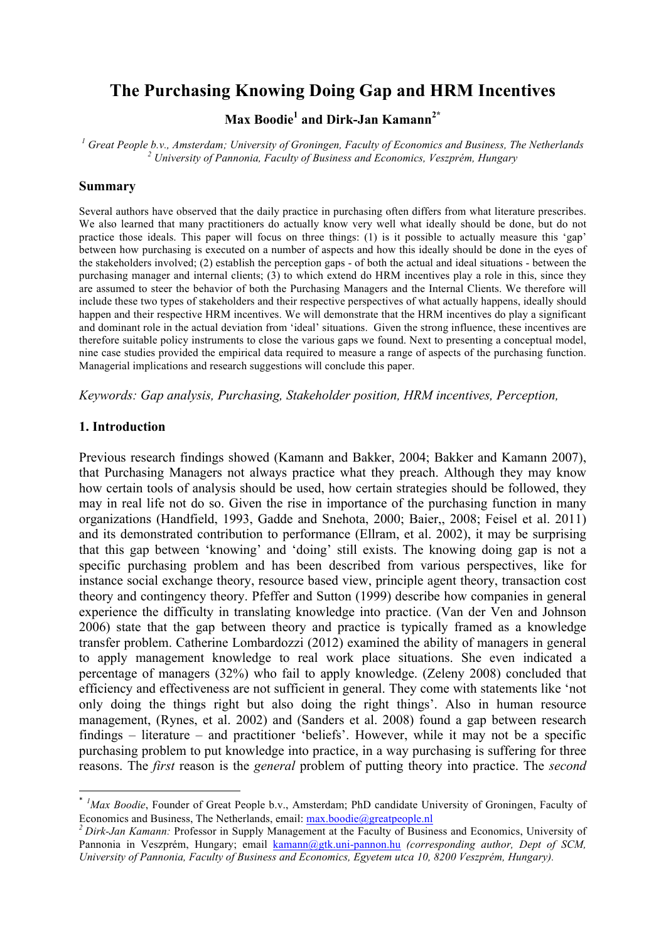# **The Purchasing Knowing Doing Gap and HRM Incentives**

**Max Boodie1 and Dirk-Jan Kamann2\***

<sup>1</sup> Great People b.v., Amsterdam; University of Groningen, Faculty of Economics and Business, The Netherlands <sup>2</sup><br><sup>2</sup> University of Pannonia, Faculty of Business and Economics, Veszprém, Hungary

#### **Summary**

Several authors have observed that the daily practice in purchasing often differs from what literature prescribes. We also learned that many practitioners do actually know very well what ideally should be done, but do not practice those ideals. This paper will focus on three things: (1) is it possible to actually measure this 'gap' between how purchasing is executed on a number of aspects and how this ideally should be done in the eyes of the stakeholders involved; (2) establish the perception gaps - of both the actual and ideal situations - between the purchasing manager and internal clients; (3) to which extend do HRM incentives play a role in this, since they are assumed to steer the behavior of both the Purchasing Managers and the Internal Clients. We therefore will include these two types of stakeholders and their respective perspectives of what actually happens, ideally should happen and their respective HRM incentives. We will demonstrate that the HRM incentives do play a significant and dominant role in the actual deviation from 'ideal' situations. Given the strong influence, these incentives are therefore suitable policy instruments to close the various gaps we found. Next to presenting a conceptual model, nine case studies provided the empirical data required to measure a range of aspects of the purchasing function. Managerial implications and research suggestions will conclude this paper.

*Keywords: Gap analysis, Purchasing, Stakeholder position, HRM incentives, Perception,* 

#### **1. Introduction**

<u> 1989 - Jan Samuel Barbara, margaret e</u>

Previous research findings showed (Kamann and Bakker, 2004; Bakker and Kamann 2007), that Purchasing Managers not always practice what they preach. Although they may know how certain tools of analysis should be used, how certain strategies should be followed, they may in real life not do so. Given the rise in importance of the purchasing function in many organizations (Handfield, 1993, Gadde and Snehota, 2000; Baier,, 2008; Feisel et al. 2011) and its demonstrated contribution to performance (Ellram, et al. 2002), it may be surprising that this gap between 'knowing' and 'doing' still exists. The knowing doing gap is not a specific purchasing problem and has been described from various perspectives, like for instance social exchange theory, resource based view, principle agent theory, transaction cost theory and contingency theory. Pfeffer and Sutton (1999) describe how companies in general experience the difficulty in translating knowledge into practice. (Van der Ven and Johnson 2006) state that the gap between theory and practice is typically framed as a knowledge transfer problem. Catherine Lombardozzi (2012) examined the ability of managers in general to apply management knowledge to real work place situations. She even indicated a percentage of managers (32%) who fail to apply knowledge. (Zeleny 2008) concluded that efficiency and effectiveness are not sufficient in general. They come with statements like 'not only doing the things right but also doing the right things'. Also in human resource management, (Rynes, et al. 2002) and (Sanders et al. 2008) found a gap between research findings – literature – and practitioner 'beliefs'. However, while it may not be a specific purchasing problem to put knowledge into practice, in a way purchasing is suffering for three reasons. The *first* reason is the *general* problem of putting theory into practice. The *second*

<sup>\*</sup> *1 Max Boodie*, Founder of Great People b.v., Amsterdam; PhD candidate University of Groningen, Faculty of Economics and Business, The Netherlands, email: max.boodie@greatpeople.nl *<sup>2</sup> Dirk-Jan Kamann:* Professor in Supply Management at the Faculty of Business and Economics, University of

Pannonia in Veszprém, Hungary; email kamann@gtk.uni-pannon.hu *(corresponding author, Dept of SCM, University of Pannonia, Faculty of Business and Economics, Egyetem utca 10, 8200 Veszprém, Hungary).*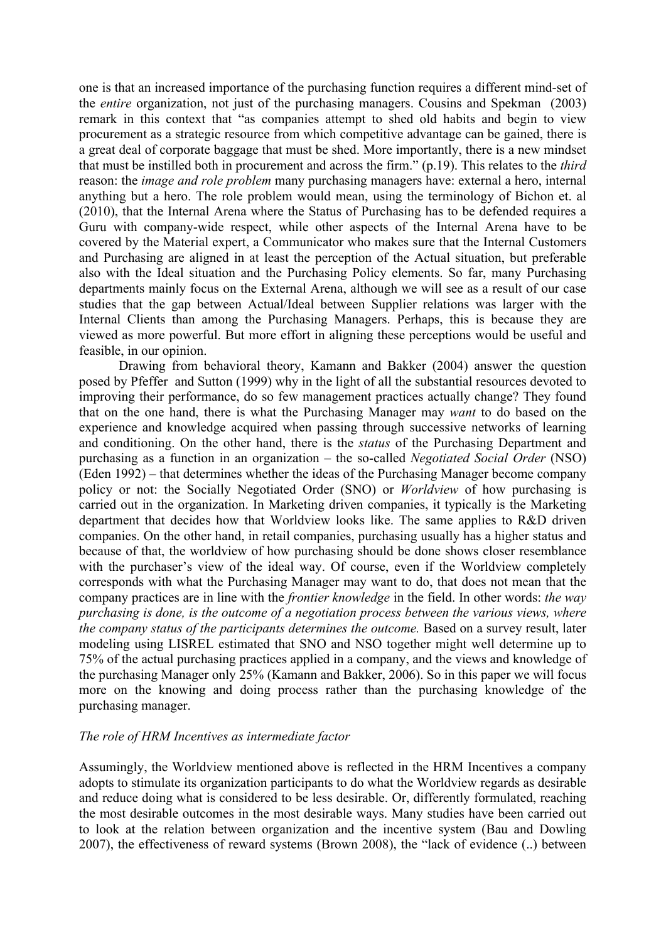one is that an increased importance of the purchasing function requires a different mind-set of the *entire* organization, not just of the purchasing managers. Cousins and Spekman (2003) remark in this context that "as companies attempt to shed old habits and begin to view procurement as a strategic resource from which competitive advantage can be gained, there is a great deal of corporate baggage that must be shed. More importantly, there is a new mindset that must be instilled both in procurement and across the firm." (p.19). This relates to the *third* reason: the *image and role problem* many purchasing managers have: external a hero, internal anything but a hero. The role problem would mean, using the terminology of Bichon et. al (2010), that the Internal Arena where the Status of Purchasing has to be defended requires a Guru with company-wide respect, while other aspects of the Internal Arena have to be covered by the Material expert, a Communicator who makes sure that the Internal Customers and Purchasing are aligned in at least the perception of the Actual situation, but preferable also with the Ideal situation and the Purchasing Policy elements. So far, many Purchasing departments mainly focus on the External Arena, although we will see as a result of our case studies that the gap between Actual/Ideal between Supplier relations was larger with the Internal Clients than among the Purchasing Managers. Perhaps, this is because they are viewed as more powerful. But more effort in aligning these perceptions would be useful and feasible, in our opinion.

Drawing from behavioral theory, Kamann and Bakker (2004) answer the question posed by Pfeffer and Sutton (1999) why in the light of all the substantial resources devoted to improving their performance, do so few management practices actually change? They found that on the one hand, there is what the Purchasing Manager may *want* to do based on the experience and knowledge acquired when passing through successive networks of learning and conditioning. On the other hand, there is the *status* of the Purchasing Department and purchasing as a function in an organization – the so-called *Negotiated Social Order* (NSO) (Eden 1992) – that determines whether the ideas of the Purchasing Manager become company policy or not: the Socially Negotiated Order (SNO) or *Worldview* of how purchasing is carried out in the organization. In Marketing driven companies, it typically is the Marketing department that decides how that Worldview looks like. The same applies to R&D driven companies. On the other hand, in retail companies, purchasing usually has a higher status and because of that, the worldview of how purchasing should be done shows closer resemblance with the purchaser's view of the ideal way. Of course, even if the Worldview completely corresponds with what the Purchasing Manager may want to do, that does not mean that the company practices are in line with the *frontier knowledge* in the field. In other words: *the way purchasing is done, is the outcome of a negotiation process between the various views, where the company status of the participants determines the outcome.* Based on a survey result, later modeling using LISREL estimated that SNO and NSO together might well determine up to 75% of the actual purchasing practices applied in a company, and the views and knowledge of the purchasing Manager only 25% (Kamann and Bakker, 2006). So in this paper we will focus more on the knowing and doing process rather than the purchasing knowledge of the purchasing manager.

### *The role of HRM Incentives as intermediate factor*

Assumingly, the Worldview mentioned above is reflected in the HRM Incentives a company adopts to stimulate its organization participants to do what the Worldview regards as desirable and reduce doing what is considered to be less desirable. Or, differently formulated, reaching the most desirable outcomes in the most desirable ways. Many studies have been carried out to look at the relation between organization and the incentive system (Bau and Dowling 2007), the effectiveness of reward systems (Brown 2008), the "lack of evidence (..) between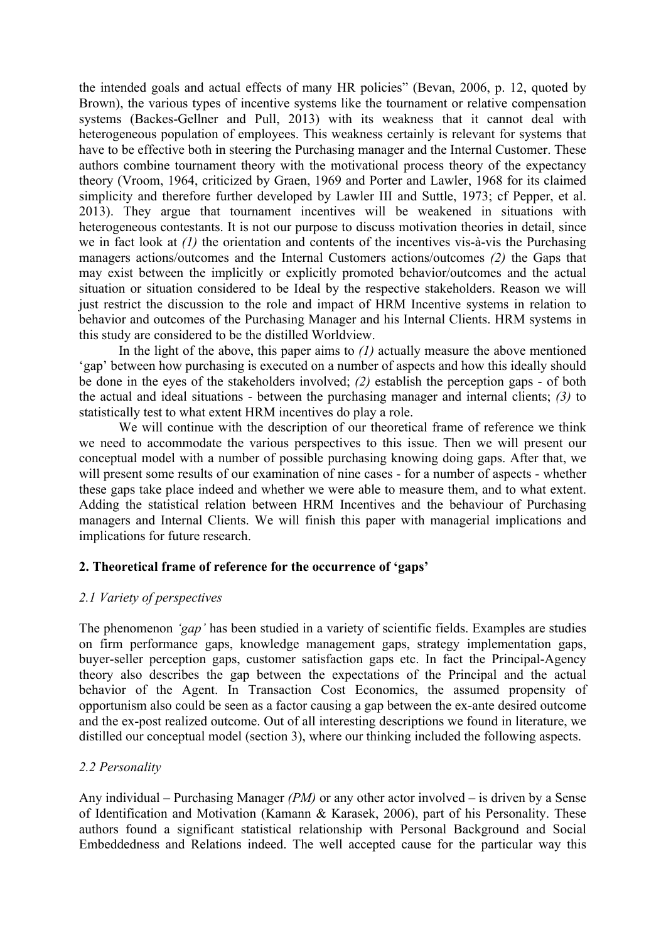the intended goals and actual effects of many HR policies" (Bevan, 2006, p. 12, quoted by Brown), the various types of incentive systems like the tournament or relative compensation systems (Backes-Gellner and Pull, 2013) with its weakness that it cannot deal with heterogeneous population of employees. This weakness certainly is relevant for systems that have to be effective both in steering the Purchasing manager and the Internal Customer. These authors combine tournament theory with the motivational process theory of the expectancy theory (Vroom, 1964, criticized by Graen, 1969 and Porter and Lawler, 1968 for its claimed simplicity and therefore further developed by Lawler III and Suttle, 1973; cf Pepper, et al. 2013). They argue that tournament incentives will be weakened in situations with heterogeneous contestants. It is not our purpose to discuss motivation theories in detail, since we in fact look at *(1)* the orientation and contents of the incentives vis-à-vis the Purchasing managers actions/outcomes and the Internal Customers actions/outcomes *(2)* the Gaps that may exist between the implicitly or explicitly promoted behavior/outcomes and the actual situation or situation considered to be Ideal by the respective stakeholders. Reason we will just restrict the discussion to the role and impact of HRM Incentive systems in relation to behavior and outcomes of the Purchasing Manager and his Internal Clients. HRM systems in this study are considered to be the distilled Worldview.

In the light of the above, this paper aims to *(1)* actually measure the above mentioned 'gap' between how purchasing is executed on a number of aspects and how this ideally should be done in the eyes of the stakeholders involved; *(2)* establish the perception gaps - of both the actual and ideal situations - between the purchasing manager and internal clients; *(3)* to statistically test to what extent HRM incentives do play a role.

We will continue with the description of our theoretical frame of reference we think we need to accommodate the various perspectives to this issue. Then we will present our conceptual model with a number of possible purchasing knowing doing gaps. After that, we will present some results of our examination of nine cases - for a number of aspects - whether these gaps take place indeed and whether we were able to measure them, and to what extent. Adding the statistical relation between HRM Incentives and the behaviour of Purchasing managers and Internal Clients. We will finish this paper with managerial implications and implications for future research.

# **2. Theoretical frame of reference for the occurrence of 'gaps'**

# *2.1 Variety of perspectives*

The phenomenon *'gap'* has been studied in a variety of scientific fields. Examples are studies on firm performance gaps, knowledge management gaps, strategy implementation gaps, buyer-seller perception gaps, customer satisfaction gaps etc. In fact the Principal-Agency theory also describes the gap between the expectations of the Principal and the actual behavior of the Agent. In Transaction Cost Economics, the assumed propensity of opportunism also could be seen as a factor causing a gap between the ex-ante desired outcome and the ex-post realized outcome. Out of all interesting descriptions we found in literature, we distilled our conceptual model (section 3), where our thinking included the following aspects.

# *2.2 Personality*

Any individual – Purchasing Manager *(PM)* or any other actor involved – is driven by a Sense of Identification and Motivation (Kamann & Karasek, 2006), part of his Personality. These authors found a significant statistical relationship with Personal Background and Social Embeddedness and Relations indeed. The well accepted cause for the particular way this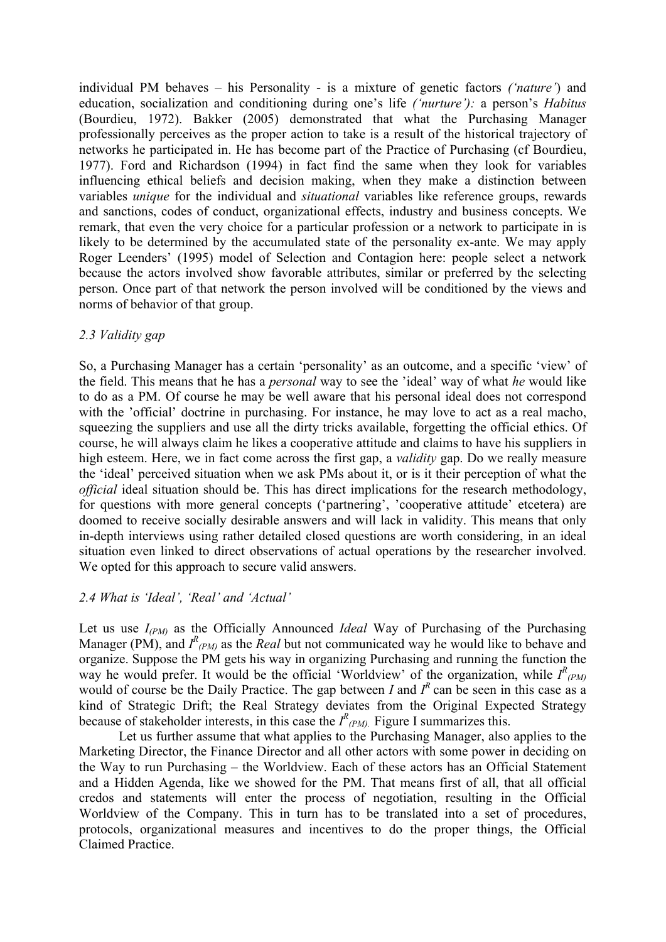individual PM behaves – his Personality - is a mixture of genetic factors *('nature'*) and education, socialization and conditioning during one's life *('nurture'):* a person's *Habitus* (Bourdieu, 1972). Bakker (2005) demonstrated that what the Purchasing Manager professionally perceives as the proper action to take is a result of the historical trajectory of networks he participated in. He has become part of the Practice of Purchasing (cf Bourdieu, 1977). Ford and Richardson (1994) in fact find the same when they look for variables influencing ethical beliefs and decision making, when they make a distinction between variables *unique* for the individual and *situational* variables like reference groups, rewards and sanctions, codes of conduct, organizational effects, industry and business concepts. We remark, that even the very choice for a particular profession or a network to participate in is likely to be determined by the accumulated state of the personality ex-ante. We may apply Roger Leenders' (1995) model of Selection and Contagion here: people select a network because the actors involved show favorable attributes, similar or preferred by the selecting person. Once part of that network the person involved will be conditioned by the views and norms of behavior of that group.

# *2.3 Validity gap*

So, a Purchasing Manager has a certain 'personality' as an outcome, and a specific 'view' of the field. This means that he has a *personal* way to see the 'ideal' way of what *he* would like to do as a PM. Of course he may be well aware that his personal ideal does not correspond with the 'official' doctrine in purchasing. For instance, he may love to act as a real macho, squeezing the suppliers and use all the dirty tricks available, forgetting the official ethics. Of course, he will always claim he likes a cooperative attitude and claims to have his suppliers in high esteem. Here, we in fact come across the first gap, a *validity* gap. Do we really measure the 'ideal' perceived situation when we ask PMs about it, or is it their perception of what the *official* ideal situation should be. This has direct implications for the research methodology, for questions with more general concepts ('partnering', 'cooperative attitude' etcetera) are doomed to receive socially desirable answers and will lack in validity. This means that only in-depth interviews using rather detailed closed questions are worth considering, in an ideal situation even linked to direct observations of actual operations by the researcher involved. We opted for this approach to secure valid answers.

# *2.4 What is 'Ideal', 'Real' and 'Actual'*

Let us use *I(PM)* as the Officially Announced *Ideal* Way of Purchasing of the Purchasing Manager (PM), and  $I^R$ <sub>(PM)</sub> as the *Real* but not communicated way he would like to behave and organize. Suppose the PM gets his way in organizing Purchasing and running the function the way he would prefer. It would be the official 'Worldview' of the organization, while  $I^R$ <sub>(PM)</sub> would of course be the Daily Practice. The gap between *I* and  $I<sup>R</sup>$  can be seen in this case as a kind of Strategic Drift; the Real Strategy deviates from the Original Expected Strategy because of stakeholder interests, in this case the  $I^R_{(PM)}$ . Figure I summarizes this.

Let us further assume that what applies to the Purchasing Manager, also applies to the Marketing Director, the Finance Director and all other actors with some power in deciding on the Way to run Purchasing – the Worldview. Each of these actors has an Official Statement and a Hidden Agenda, like we showed for the PM. That means first of all, that all official credos and statements will enter the process of negotiation, resulting in the Official Worldview of the Company. This in turn has to be translated into a set of procedures, protocols, organizational measures and incentives to do the proper things, the Official Claimed Practice.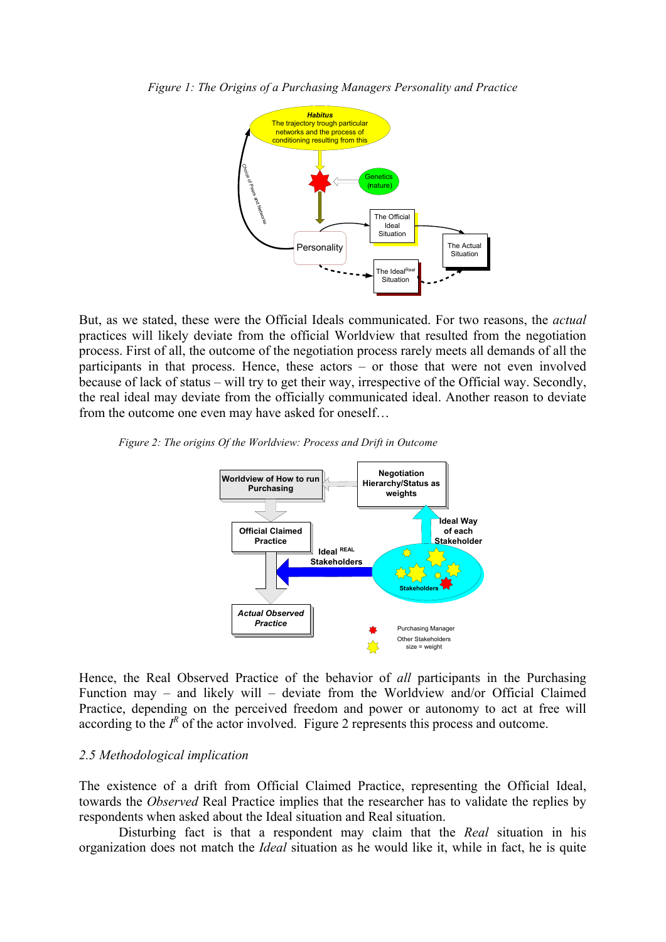



But, as we stated, these were the Official Ideals communicated. For two reasons, the *actual* practices will likely deviate from the official Worldview that resulted from the negotiation process. First of all, the outcome of the negotiation process rarely meets all demands of all the participants in that process. Hence, these actors – or those that were not even involved because of lack of status – will try to get their way, irrespective of the Official way. Secondly, the real ideal may deviate from the officially communicated ideal. Another reason to deviate from the outcome one even may have asked for oneself…





Hence, the Real Observed Practice of the behavior of *all* participants in the Purchasing Function may – and likely will – deviate from the Worldview and/or Official Claimed Practice, depending on the perceived freedom and power or autonomy to act at free will according to the  $I^R$  of the actor involved. Figure 2 represents this process and outcome.

#### *2.5 Methodological implication*

The existence of a drift from Official Claimed Practice, representing the Official Ideal, towards the *Observed* Real Practice implies that the researcher has to validate the replies by respondents when asked about the Ideal situation and Real situation.

Disturbing fact is that a respondent may claim that the *Real* situation in his organization does not match the *Ideal* situation as he would like it, while in fact, he is quite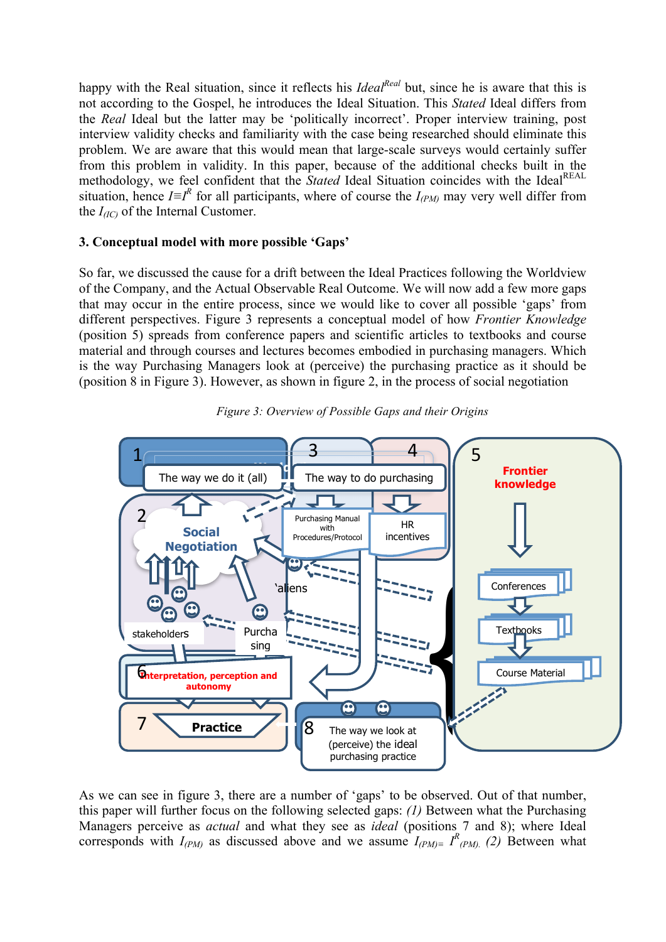happy with the Real situation, since it reflects his *Ideal<sup>Real</sup>* but, since he is aware that this is not according to the Gospel, he introduces the Ideal Situation. This *Stated* Ideal differs from the *Real* Ideal but the latter may be 'politically incorrect'. Proper interview training, post interview validity checks and familiarity with the case being researched should eliminate this problem. We are aware that this would mean that large-scale surveys would certainly suffer from this problem in validity. In this paper, because of the additional checks built in the methodology, we feel confident that the *Stated* Ideal Situation coincides with the Ideal<sup>REAL</sup> situation, hence  $I \equiv I^R$  for all participants, where of course the  $I_{(PM)}$  may very well differ from the  $I_{(IC)}$  of the Internal Customer.

# **3. Conceptual model with more possible 'Gaps'**

So far, we discussed the cause for a drift between the Ideal Practices following the Worldview of the Company, and the Actual Observable Real Outcome. We will now add a few more gaps that may occur in the entire process, since we would like to cover all possible 'gaps' from different perspectives. Figure 3 represents a conceptual model of how *Frontier Knowledge* (position 5) spreads from conference papers and scientific articles to textbooks and course material and through courses and lectures becomes embodied in purchasing managers. Which is the way Purchasing Managers look at (perceive) the purchasing practice as it should be (position 8 in Figure 3). However, as shown in figure 2, in the process of social negotiation



*Figure 3: Overview of Possible Gaps and their Origins*

As we can see in figure 3, there are a number of 'gaps' to be observed. Out of that number, this paper will further focus on the following selected gaps: *(1)* Between what the Purchasing Managers perceive as *actual* and what they see as *ideal* (positions 7 and 8); where Ideal corresponds with  $I_{(PM)}$  as discussed above and we assume  $I_{(PM)^\equiv}$   $I_{(PM)^\equiv}^R$  (2) Between what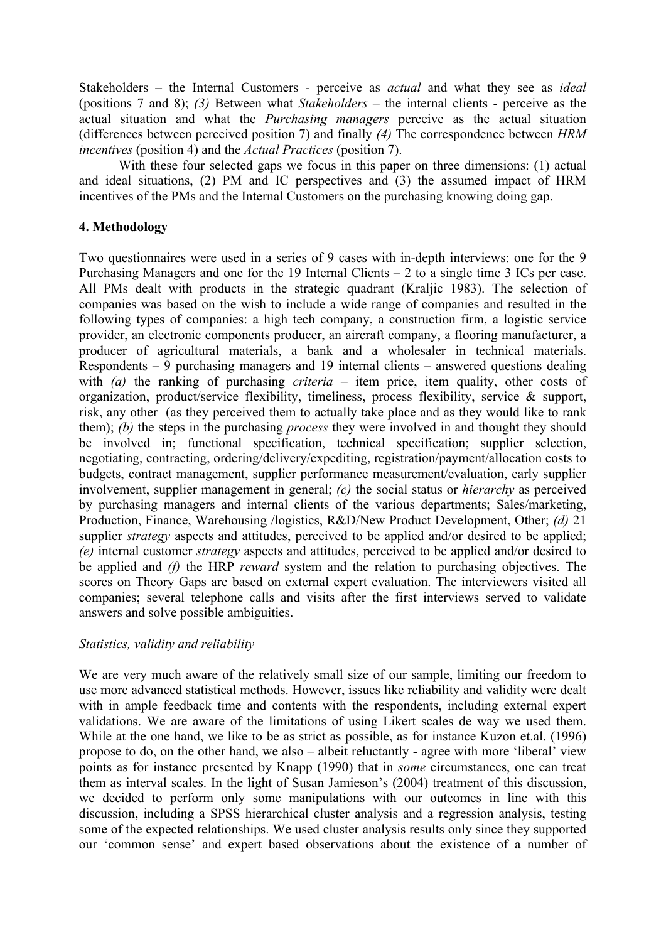Stakeholders – the Internal Customers - perceive as *actual* and what they see as *ideal* (positions 7 and 8); *(3)* Between what *Stakeholders* – the internal clients - perceive as the actual situation and what the *Purchasing managers* perceive as the actual situation (differences between perceived position 7) and finally *(4)* The correspondence between *HRM incentives* (position 4) and the *Actual Practices* (position 7).

With these four selected gaps we focus in this paper on three dimensions: (1) actual and ideal situations, (2) PM and IC perspectives and (3) the assumed impact of HRM incentives of the PMs and the Internal Customers on the purchasing knowing doing gap.

# **4. Methodology**

Two questionnaires were used in a series of 9 cases with in-depth interviews: one for the 9 Purchasing Managers and one for the 19 Internal Clients – 2 to a single time 3 ICs per case. All PMs dealt with products in the strategic quadrant (Kraljic 1983). The selection of companies was based on the wish to include a wide range of companies and resulted in the following types of companies: a high tech company, a construction firm, a logistic service provider, an electronic components producer, an aircraft company, a flooring manufacturer, a producer of agricultural materials, a bank and a wholesaler in technical materials. Respondents – 9 purchasing managers and 19 internal clients – answered questions dealing with *(a)* the ranking of purchasing *criteria* – item price, item quality, other costs of organization, product/service flexibility, timeliness, process flexibility, service & support, risk, any other (as they perceived them to actually take place and as they would like to rank them); *(b)* the steps in the purchasing *process* they were involved in and thought they should be involved in; functional specification, technical specification; supplier selection, negotiating, contracting, ordering/delivery/expediting, registration/payment/allocation costs to budgets, contract management, supplier performance measurement/evaluation, early supplier involvement, supplier management in general; *(c)* the social status or *hierarchy* as perceived by purchasing managers and internal clients of the various departments; Sales/marketing, Production, Finance, Warehousing /logistics, R&D/New Product Development, Other; *(d)* 21 supplier *strategy* aspects and attitudes, perceived to be applied and/or desired to be applied; *(e)* internal customer *strategy* aspects and attitudes, perceived to be applied and/or desired to be applied and *(f)* the HRP *reward* system and the relation to purchasing objectives. The scores on Theory Gaps are based on external expert evaluation. The interviewers visited all companies; several telephone calls and visits after the first interviews served to validate answers and solve possible ambiguities.

# *Statistics, validity and reliability*

We are very much aware of the relatively small size of our sample, limiting our freedom to use more advanced statistical methods. However, issues like reliability and validity were dealt with in ample feedback time and contents with the respondents, including external expert validations. We are aware of the limitations of using Likert scales de way we used them. While at the one hand, we like to be as strict as possible, as for instance Kuzon et.al. (1996) propose to do, on the other hand, we also – albeit reluctantly - agree with more 'liberal' view points as for instance presented by Knapp (1990) that in *some* circumstances, one can treat them as interval scales. In the light of Susan Jamieson's (2004) treatment of this discussion, we decided to perform only some manipulations with our outcomes in line with this discussion, including a SPSS hierarchical cluster analysis and a regression analysis, testing some of the expected relationships. We used cluster analysis results only since they supported our 'common sense' and expert based observations about the existence of a number of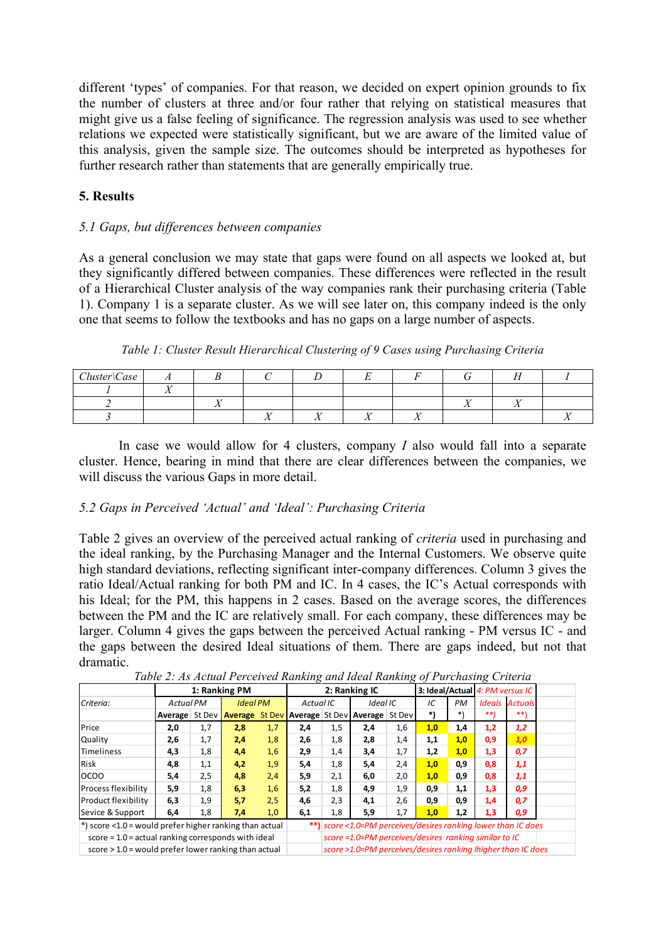different 'types' of companies. For that reason, we decided on expert opinion grounds to fix the number of clusters at three and/or four rather that relying on statistical measures that might give us a false feeling of significance. The regression analysis was used to see whether relations we expected were statistically significant, but we are aware of the limited value of this analysis, given the sample size. The outcomes should be interpreted as hypotheses for further research rather than statements that are generally empirically true.

# **5. Results**

# *5.1 Gaps, but differences between companies*

As a general conclusion we may state that gaps were found on all aspects we looked at, but they significantly differed between companies. These differences were reflected in the result of a Hierarchical Cluster analysis of the way companies rank their purchasing criteria (Table 1). Company 1 is a separate cluster. As we will see later on, this company indeed is the only one that seems to follow the textbooks and has no gaps on a large number of aspects.

*Table 1: Cluster Result Hierarchical Clustering of 9 Cases using Purchasing Criteria*

| Cluster Case | . . |  |  |  |    |  |
|--------------|-----|--|--|--|----|--|
|              |     |  |  |  |    |  |
|              |     |  |  |  | -- |  |
|              |     |  |  |  |    |  |

In case we would allow for 4 clusters, company *I* also would fall into a separate cluster. Hence, bearing in mind that there are clear differences between the companies, we will discuss the various Gaps in more detail.

### *5.2 Gaps in Perceived 'Actual' and 'Ideal': Purchasing Criteria*

Table 2 gives an overview of the perceived actual ranking of *criteria* used in purchasing and the ideal ranking, by the Purchasing Manager and the Internal Customers. We observe quite high standard deviations, reflecting significant inter-company differences. Column 3 gives the ratio Ideal/Actual ranking for both PM and IC. In 4 cases, the IC's Actual corresponds with his Ideal; for the PM, this happens in 2 cases. Based on the average scores, the differences between the PM and the IC are relatively small. For each company, these differences may be larger. Column 4 gives the gaps between the perceived Actual ranking - PM versus IC - and the gaps between the desired Ideal situations of them. There are gaps indeed, but not that dramatic.

|                                                         | 1: Ranking PM    |     |                 |     |     |                                                              | 2: Ranking IC                                                  |          | 3: Ideal/Actual 4: PM versus IC |     |     |                       |  |
|---------------------------------------------------------|------------------|-----|-----------------|-----|-----|--------------------------------------------------------------|----------------------------------------------------------------|----------|---------------------------------|-----|-----|-----------------------|--|
| Criteria:                                               | <b>Actual PM</b> |     | <b>Ideal PM</b> |     |     | Actual IC                                                    |                                                                | Ideal IC | IC<br>PM                        |     |     | <b>Ideals Actuals</b> |  |
|                                                         |                  |     |                 |     |     |                                                              | Average St Dev <b>Average St Dev</b> Average St Dev Average    | St Dev   | *)                              | *\  | **) | **)                   |  |
| Price                                                   | 2,0              | 1,7 | 2,8             | 1,7 | 2,4 | 1,5                                                          | 2,4                                                            | 1,6      | 1,0                             | 1,4 | 1,2 | 1,2                   |  |
| Quality                                                 | 2,6              | 1,7 | 2,4             | 1,8 | 2,6 | 1,8                                                          | 2,8                                                            | 1,4      | 1,1                             | 1,0 | 0,9 | 1,0                   |  |
| <b>Timeliness</b>                                       | 4,3              | 1,8 | 4,4             | 1,6 | 2,9 | 1,4                                                          | 3,4                                                            | 1,7      | 1,2                             | 1,0 | 1,3 | 0,7                   |  |
| <b>Risk</b>                                             | 4,8              | 1,1 | 4,2             | 1,9 | 5,4 | 1,8                                                          | 5,4                                                            | 2,4      | 1,0                             | 0,9 | 0,8 | 1,1                   |  |
| <b>OCOO</b>                                             | 5,4              | 2,5 | 4,8             | 2,4 | 5,9 | 2,1                                                          | 6,0                                                            | 2,0      | 1,0                             | 0,9 | 0,8 | 1,1                   |  |
| <b>Process flexibility</b>                              | 5,9              | 1,8 | 6,3             | 1,6 | 5,2 | 1,8                                                          | 4,9                                                            | 1,9      | 0,9                             | 1,1 | 1,3 | 0,9                   |  |
| Product flexibility                                     | 6,3              | 1,9 | 5,7             | 2,5 | 4,6 | 2,3                                                          | 4,1                                                            | 2,6      | 0,9                             | 0,9 | 1,4 | 0,7                   |  |
| Sevice & Support                                        | 6,4              | 1,8 | 7,4             | 1,0 | 6,1 | 1,8                                                          | 5,9                                                            | 1,7      | 1,0                             | 1,2 | 1,3 | 0,9                   |  |
| *) score <1.0 = would prefer higher ranking than actual |                  |     |                 |     |     |                                                              | **) score <1.0=PM perceives/desires ranking lower than IC does |          |                                 |     |     |                       |  |
| $score = 1.0 = actual ranking corresponds with ideal$   |                  |     |                 |     |     | score =1.0=PM perceives/desires ranking similar to IC        |                                                                |          |                                 |     |     |                       |  |
| score $> 1.0$ = would prefer lower ranking than actual  |                  |     |                 |     |     | score >1.0=PM perceives/desires ranking lhigher than IC does |                                                                |          |                                 |     |     |                       |  |

*Table 2: As Actual Perceived Ranking and Ideal Ranking of Purchasing Criteria*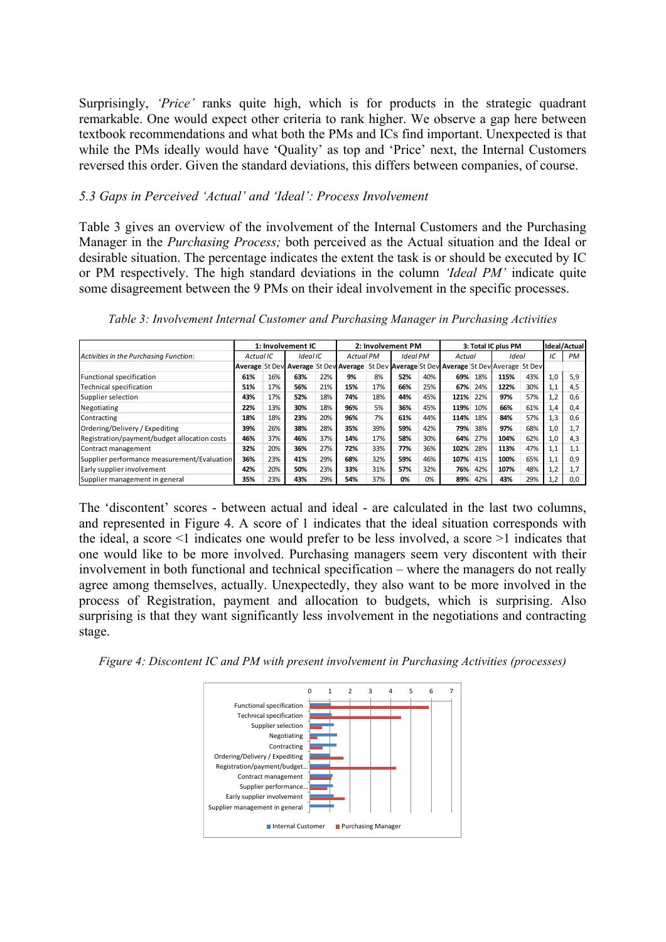Surprisingly, *'Price'* ranks quite high, which is for products in the strategic quadrant remarkable. One would expect other criteria to rank higher. We observe a gap here between textbook recommendations and what both the PMs and ICs find important. Unexpected is that while the PMs ideally would have 'Quality' as top and 'Price' next, the Internal Customers reversed this order. Given the standard deviations, this differs between companies, of course.

### *5.3 Gaps in Perceived 'Actual' and 'Ideal': Process Involvement*

Table 3 gives an overview of the involvement of the Internal Customers and the Purchasing Manager in the *Purchasing Process;* both perceived as the Actual situation and the Ideal or desirable situation. The percentage indicates the extent the task is or should be executed by IC or PM respectively. The high standard deviations in the column *'Ideal PM'* indicate quite some disagreement between the 9 PMs on their ideal involvement in the specific processes.

|                                              |           |     | 1: Involvement IC                                                                         |     |                  |     | 2: Involvement PM |     |        |     | 3: Total IC plus PM |     |     | Ideal/Actual |
|----------------------------------------------|-----------|-----|-------------------------------------------------------------------------------------------|-----|------------------|-----|-------------------|-----|--------|-----|---------------------|-----|-----|--------------|
| Activities in the Purchasing Function:       | Actual IC |     | Ideal IC                                                                                  |     | <b>Actual PM</b> |     | Ideal PM          |     | Actual |     | Ideal               |     | IC  | <b>PM</b>    |
|                                              |           |     | Average St Dev Average St Dev Average St Dev Average St Dev Average St Dev Average St Dev |     |                  |     |                   |     |        |     |                     |     |     |              |
| Functional specification                     | 61%       | 16% | 63%                                                                                       | 22% | 9%               | 8%  | 52%               | 40% | 69%    | 18% | 115%                | 43% | 1,0 | 5.9          |
| Technical specification                      | 51%       | 17% | 56%                                                                                       | 21% | 15%              | 17% | 66%               | 25% | 67%    | 24% | 122%                | 30% | 1,1 | 4.5          |
| Supplier selection                           | 43%       | 17% | 52%                                                                                       | 18% | 74%              | 18% | 44%               | 45% | 121%   | 22% | 97%                 | 57% | 1,2 | 0.6          |
| Negotiating                                  | 22%       | 13% | 30%                                                                                       | 18% | 96%              | 5%  | 36%               | 45% | 119%   | 10% | 66%                 | 61% | 1,4 | 0.4          |
| Contracting                                  | 18%       | 18% | 23%                                                                                       | 20% | 96%              | 7%  | 61%               | 44% | 114%   | 18% | 84%                 | 57% | 1,3 | 0.6          |
| Ordering/Delivery / Expediting               | 39%       | 26% | 38%                                                                                       | 28% | 35%              | 39% | 59%               | 42% | 79%    | 38% | 97%                 | 68% | 1,0 | 1,7          |
| Registration/payment/budget allocation costs | 46%       | 37% | 46%                                                                                       | 37% | 14%              | 17% | 58%               | 30% | 64%    | 27% | 104%                | 62% | 1,0 | 4,3          |
| Contract management                          | 32%       | 20% | 36%                                                                                       | 27% | 72%              | 33% | 77%               | 36% | 102%   | 28% | 113%                | 47% | 1,1 | 1,1          |
| Supplier performance measurement/Evaluation  | 36%       | 23% | 41%                                                                                       | 29% | 68%              | 32% | 59%               | 46% | 107%   | 41% | 100%                | 65% | 1,1 | 0.9          |
| Early supplier involvement                   | 42%       | 20% | 50%                                                                                       | 23% | 33%              | 31% | 57%               | 32% | 76%    | 42% | 107%                | 48% | 1,2 | 1,7          |
| Supplier management in general               | 35%       | 23% | 43%                                                                                       | 29% | 54%              | 37% | 0%                | 0%  | 89%    | 42% | 43%                 | 29% | 1.2 | 0.0          |

*Table 3: Involvement Internal Customer and Purchasing Manager in Purchasing Activities*

The 'discontent' scores - between actual and ideal - are calculated in the last two columns, and represented in Figure 4. A score of 1 indicates that the ideal situation corresponds with the ideal, a score <1 indicates one would prefer to be less involved, a score >1 indicates that one would like to be more involved. Purchasing managers seem very discontent with their involvement in both functional and technical specification – where the managers do not really agree among themselves, actually. Unexpectedly, they also want to be more involved in the process of Registration, payment and allocation to budgets, which is surprising. Also surprising is that they want significantly less involvement in the negotiations and contracting stage.

*Figure 4: Discontent IC and PM with present involvement in Purchasing Activities (processes)*

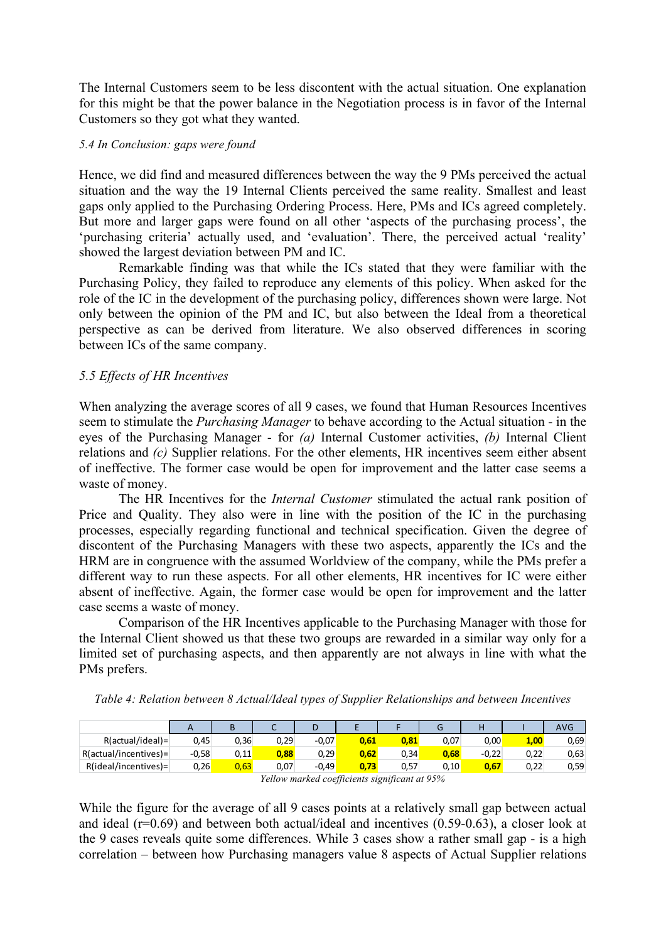The Internal Customers seem to be less discontent with the actual situation. One explanation for this might be that the power balance in the Negotiation process is in favor of the Internal Customers so they got what they wanted.

#### *5.4 In Conclusion: gaps were found*

Hence, we did find and measured differences between the way the 9 PMs perceived the actual situation and the way the 19 Internal Clients perceived the same reality. Smallest and least gaps only applied to the Purchasing Ordering Process. Here, PMs and ICs agreed completely. But more and larger gaps were found on all other 'aspects of the purchasing process', the 'purchasing criteria' actually used, and 'evaluation'. There, the perceived actual 'reality' showed the largest deviation between PM and IC.

Remarkable finding was that while the ICs stated that they were familiar with the Purchasing Policy, they failed to reproduce any elements of this policy. When asked for the role of the IC in the development of the purchasing policy, differences shown were large. Not only between the opinion of the PM and IC, but also between the Ideal from a theoretical perspective as can be derived from literature. We also observed differences in scoring between ICs of the same company.

# *5.5 Effects of HR Incentives*

When analyzing the average scores of all 9 cases, we found that Human Resources Incentives seem to stimulate the *Purchasing Manager* to behave according to the Actual situation - in the eyes of the Purchasing Manager - for *(a)* Internal Customer activities, *(b)* Internal Client relations and *(c)* Supplier relations. For the other elements, HR incentives seem either absent of ineffective. The former case would be open for improvement and the latter case seems a waste of money.

The HR Incentives for the *Internal Customer* stimulated the actual rank position of Price and Quality. They also were in line with the position of the IC in the purchasing processes, especially regarding functional and technical specification. Given the degree of discontent of the Purchasing Managers with these two aspects, apparently the ICs and the HRM are in congruence with the assumed Worldview of the company, while the PMs prefer a different way to run these aspects. For all other elements, HR incentives for IC were either absent of ineffective. Again, the former case would be open for improvement and the latter case seems a waste of money.

Comparison of the HR Incentives applicable to the Purchasing Manager with those for the Internal Client showed us that these two groups are rewarded in a similar way only for a limited set of purchasing aspects, and then apparently are not always in line with what the PMs prefers.

*Table 4: Relation between 8 Actual/Ideal types of Supplier Relationships and between Incentives*

|                                                | A       | В    |      | D       |      |      | G    |         |      | <b>AVG</b> |
|------------------------------------------------|---------|------|------|---------|------|------|------|---------|------|------------|
| R(actual/ideal)                                | 0,45    | 0,36 | 0.29 | $-0.07$ | 0,61 | 0,81 | 0,07 | 0,00    | 1,00 | 0,69       |
| $R(actual/incentives) =$                       | $-0.58$ | 0,11 | 0.88 | 0,29    | 0,62 | 0,34 | 0.68 | $-0.22$ | 0,22 | 0,63       |
| $R(ideal/incentives)$ =                        | 0,26    | 0.63 | 0,07 | $-0.49$ | 0.73 | 0,57 | 0,10 | 0,67    | 0,22 | 0,59       |
| Voltow marked goofficiants significant at 050/ |         |      |      |         |      |      |      |         |      |            |

*Yellow marked coefficients significant at 95%*

While the figure for the average of all 9 cases points at a relatively small gap between actual and ideal (r=0.69) and between both actual/ideal and incentives (0.59-0.63), a closer look at the 9 cases reveals quite some differences. While 3 cases show a rather small gap - is a high correlation – between how Purchasing managers value 8 aspects of Actual Supplier relations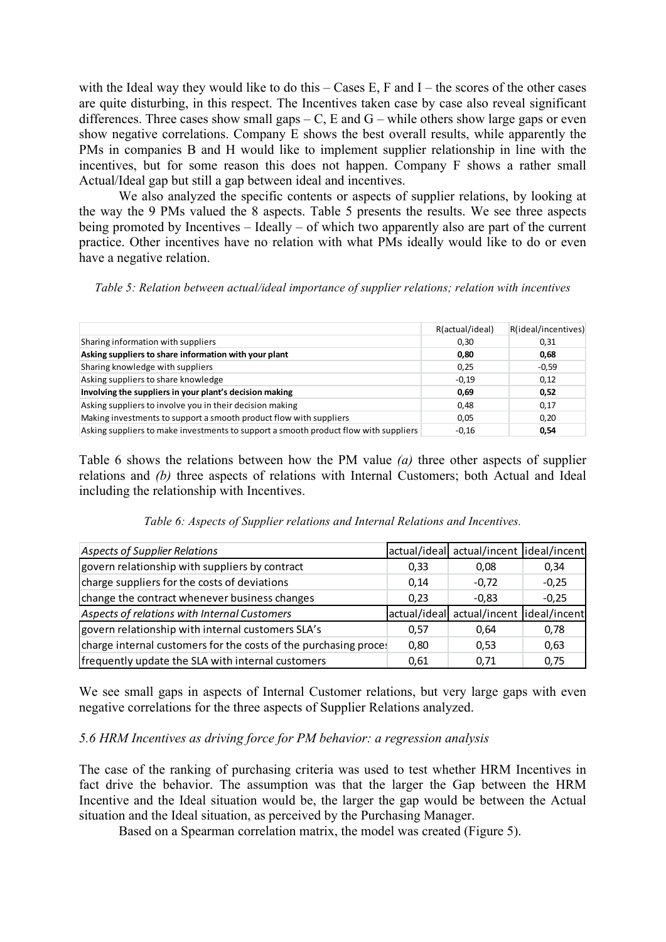with the Ideal way they would like to do this – Cases E, F and I – the scores of the other cases are quite disturbing, in this respect. The Incentives taken case by case also reveal significant differences. Three cases show small gaps – C, E and G – while others show large gaps or even show negative correlations. Company E shows the best overall results, while apparently the PMs in companies B and H would like to implement supplier relationship in line with the incentives, but for some reason this does not happen. Company F shows a rather small Actual/Ideal gap but still a gap between ideal and incentives.

We also analyzed the specific contents or aspects of supplier relations, by looking at the way the 9 PMs valued the 8 aspects. Table 5 presents the results. We see three aspects being promoted by Incentives – Ideally – of which two apparently also are part of the current practice. Other incentives have no relation with what PMs ideally would like to do or even have a negative relation.

*Table 5: Relation between actual/ideal importance of supplier relations; relation with incentives*

|                                                                                      | R(actual/ideal) | R(ideal/incentives) |
|--------------------------------------------------------------------------------------|-----------------|---------------------|
| Sharing information with suppliers                                                   | 0,30            | 0,31                |
| Asking suppliers to share information with your plant                                | 0.80            | 0,68                |
| Sharing knowledge with suppliers                                                     | 0.25            | $-0,59$             |
| Asking suppliers to share knowledge                                                  | $-0.19$         | 0,12                |
| Involving the suppliers in your plant's decision making                              | 0.69            | 0,52                |
| Asking suppliers to involve you in their decision making                             | 0.48            | 0,17                |
| Making investments to support a smooth product flow with suppliers                   | 0.05            | 0,20                |
| Asking suppliers to make investments to support a smooth product flow with suppliers | $-0.16$         | 0,54                |

Table 6 shows the relations between how the PM value *(a)* three other aspects of supplier relations and *(b)* three aspects of relations with Internal Customers; both Actual and Ideal including the relationship with Incentives.

*Table 6: Aspects of Supplier relations and Internal Relations and Incentives.*

| Aspects of Supplier Relations                                    |              | actual/ideal actual/incent lideal/incent |         |
|------------------------------------------------------------------|--------------|------------------------------------------|---------|
| govern relationship with suppliers by contract                   | 0,33         | 0,08                                     | 0,34    |
| charge suppliers for the costs of deviations                     | 0,14         | $-0.72$                                  | $-0.25$ |
| change the contract whenever business changes                    | 0.23         | $-0.83$                                  | $-0,25$ |
| Aspects of relations with Internal Customers                     | actual/ideal | actual/incent lideal/incent              |         |
| govern relationship with internal customers SLA's                | 0.57         | 0.64                                     | 0,78    |
| charge internal customers for the costs of the purchasing proces | 0,80         | 0,53                                     | 0.63    |
| frequently update the SLA with internal customers                | 0,61         | 0.71                                     | 0,75    |

We see small gaps in aspects of Internal Customer relations, but very large gaps with even negative correlations for the three aspects of Supplier Relations analyzed.

# *5.6 HRM Incentives as driving force for PM behavior: a regression analysis*

The case of the ranking of purchasing criteria was used to test whether HRM Incentives in fact drive the behavior. The assumption was that the larger the Gap between the HRM Incentive and the Ideal situation would be, the larger the gap would be between the Actual situation and the Ideal situation, as perceived by the Purchasing Manager.

Based on a Spearman correlation matrix, the model was created (Figure 5).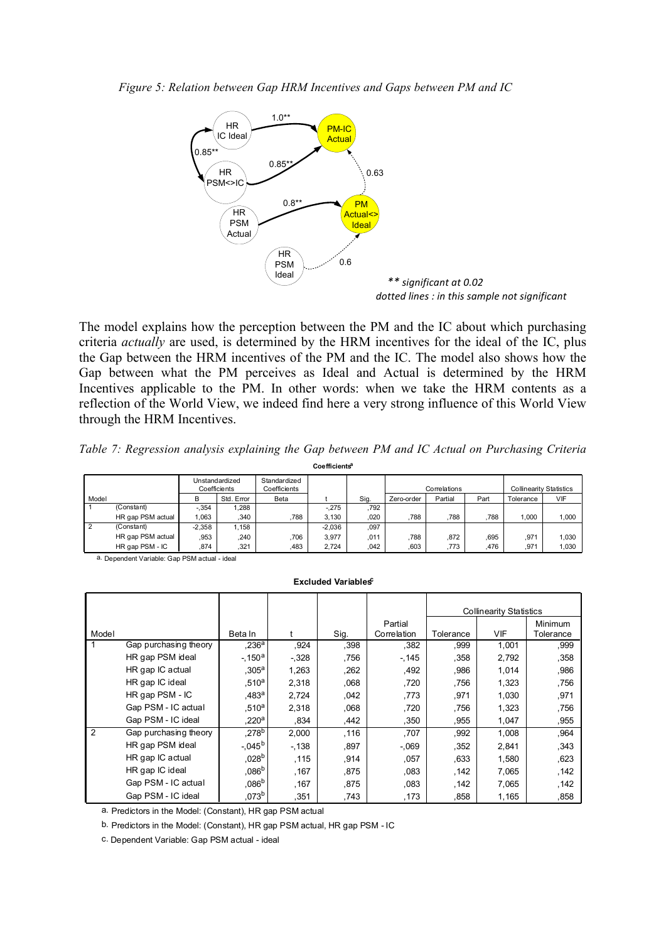*Figure 5: Relation between Gap HRM Incentives and Gaps between PM and IC*



The model explains how the perception between the PM and the IC about which purchasing criteria *actually* are used, is determined by the HRM incentives for the ideal of the IC, plus the Gap between the HRM incentives of the PM and the IC. The model also shows how the Gap between what the PM perceives as Ideal and Actual is determined by the HRM Incentives applicable to the PM. In other words: when we take the HRM contents as a reflection of the World View, we indeed find here a very strong influence of this World View through the HRM Incentives.

|  |  |  |                           |  |  | Table 7: Regression analysis explaining the Gap between PM and IC Actual on Purchasing Criteria |  |
|--|--|--|---------------------------|--|--|-------------------------------------------------------------------------------------------------|--|
|  |  |  | Coefficients <sup>a</sup> |  |  |                                                                                                 |  |

|           |                   | Unstandardized<br>Coefficients |            | Standardized<br>Coefficients |          |      |            | Correlations |      | <b>Collinearity Statistics</b> |       |
|-----------|-------------------|--------------------------------|------------|------------------------------|----------|------|------------|--------------|------|--------------------------------|-------|
| Model     |                   | в                              | Std. Error | Beta                         |          | Sig. | Zero-order | Partial      | Part | Tolerance                      | VIF   |
|           | (Constant)        | $-.354$                        | .288       |                              | $-275$   | .792 |            |              |      |                                |       |
|           | HR gap PSM actual | 1.063                          | .340       | 788                          | 3.130    | .020 | .788       | 788          | .788 | 1.000                          | 1.000 |
| $\cdot$ 2 | (Constant)        | $-2.358$                       | 1.158      |                              | $-2.036$ | 097  |            |              |      |                                |       |
|           | HR gap PSM actual | .953                           | .240       | 706                          | 3.977    | .011 | .788       | .872         | 695  | .971                           | 1.030 |
|           | HR gap PSM - IC   | .874                           | 321        | .483                         | 2.724    | .042 | .603       | .773         | .476 | .971                           | 1.030 |

a. Dependent Variable: Gap PSM actual - ideal

**Excluded Variables** 

|       |                       |                    |        |      |             |           | <b>Collinearity Statistics</b> |                |
|-------|-----------------------|--------------------|--------|------|-------------|-----------|--------------------------------|----------------|
|       |                       |                    |        |      | Partial     |           |                                | <b>Minimum</b> |
| Model |                       | Beta In            |        | Sig. | Correlation | Tolerance | VIF                            | Tolerance      |
|       | Gap purchasing theory | .236 <sup>a</sup>  | ,924   | .398 | .382        | ,999      | 1,001                          | ,999           |
|       | HR gap PSM ideal      | $-150^a$           | $-328$ | ,756 | $-145$      | ,358      | 2,792                          | ,358           |
|       | HR gap IC actual      | .305 <sup>a</sup>  | 1,263  | ,262 | .492        | .986      | 1,014                          | ,986           |
|       | HR gap IC ideal       | .510 <sup>a</sup>  | 2,318  | .068 | ,720        | .756      | 1,323                          | .756           |
|       | HR gap PSM - IC       | .483 <sup>a</sup>  | 2,724  | ,042 | .773        | .971      | 1,030                          | ,971           |
|       | Gap PSM - IC actual   | .510 <sup>a</sup>  | 2,318  | .068 | .720        | .756      | 1,323                          | .756           |
|       | Gap PSM - IC ideal    | $220^a$            | .834   | ,442 | .350        | .955      | 1,047                          | .955           |
| 2     | Gap purchasing theory | ,278 <sup>b</sup>  | 2,000  | .116 | .707        | .992      | 1,008                          | .964           |
|       | HR gap PSM ideal      | $-.045^{\rm b}$    | $-138$ | ,897 | $-0.069$    | ,352      | 2,841                          | ,343           |
|       | HR gap IC actual      | 0.028 <sup>b</sup> | .115   | ,914 | ,057        | .633      | 1,580                          | .623           |
|       | HR gap IC ideal       | $086^{b}$          | .167   | .875 | .083        | .142      | 7,065                          | .142           |
|       | Gap PSM - IC actual   | 086 <sup>b</sup>   | .167   | .875 | .083        | .142      | 7,065                          | .142           |
|       | Gap PSM - IC ideal    | 073 <sup>b</sup>   | ,351   | ,743 | ,173        | ,858      | 1,165                          | ,858           |

a. Predictors in the Model: (Constant), HR gap PSM actual

b. Predictors in the Model: (Constant), HR gap PSM actual, HR gap PSM - IC

c. Dependent Variable: Gap PSM actual - ideal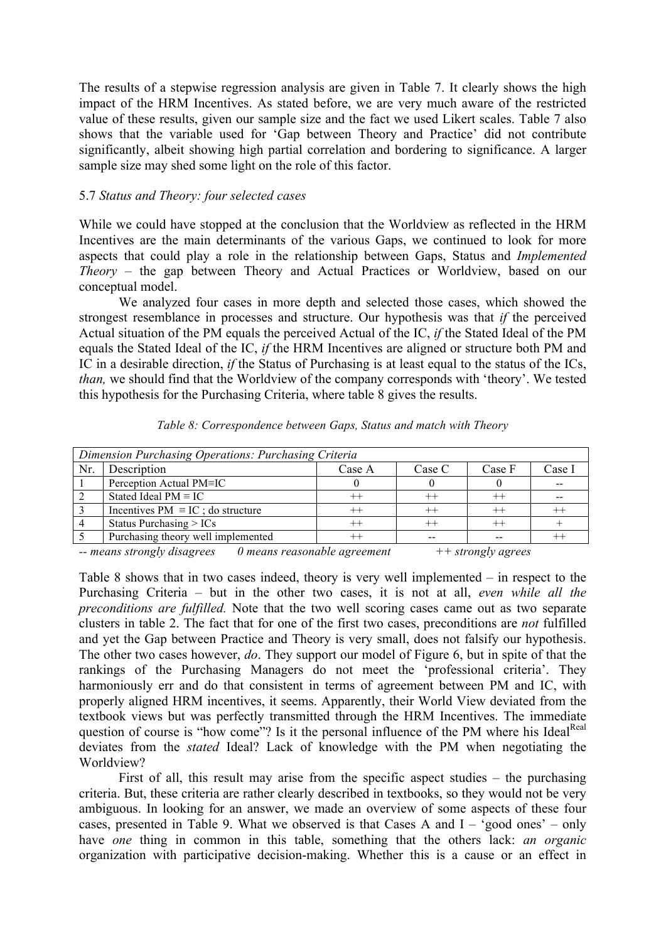The results of a stepwise regression analysis are given in Table 7. It clearly shows the high impact of the HRM Incentives. As stated before, we are very much aware of the restricted value of these results, given our sample size and the fact we used Likert scales. Table 7 also shows that the variable used for 'Gap between Theory and Practice' did not contribute significantly, albeit showing high partial correlation and bordering to significance. A larger sample size may shed some light on the role of this factor.

### 5.7 *Status and Theory: four selected cases*

While we could have stopped at the conclusion that the Worldview as reflected in the HRM Incentives are the main determinants of the various Gaps, we continued to look for more aspects that could play a role in the relationship between Gaps, Status and *Implemented Theory* – the gap between Theory and Actual Practices or Worldview, based on our conceptual model.

We analyzed four cases in more depth and selected those cases, which showed the strongest resemblance in processes and structure. Our hypothesis was that *if* the perceived Actual situation of the PM equals the perceived Actual of the IC, *if* the Stated Ideal of the PM equals the Stated Ideal of the IC, *if* the HRM Incentives are aligned or structure both PM and IC in a desirable direction, *if* the Status of Purchasing is at least equal to the status of the ICs, *than,* we should find that the Worldview of the company corresponds with 'theory'. We tested this hypothesis for the Purchasing Criteria, where table 8 gives the results.

|     | Dimension Purchasing Operations: Purchasing Criteria |              |         |         |        |  |  |  |  |
|-----|------------------------------------------------------|--------------|---------|---------|--------|--|--|--|--|
| Nr. | Description                                          | Case A       | Case C  | Case F  | Case I |  |  |  |  |
|     | Perception Actual PM=IC                              |              |         |         | --     |  |  |  |  |
|     | Stated Ideal $PM \equiv IC$                          |              | $++$    |         |        |  |  |  |  |
|     | Incentives $PM \equiv IC$ ; do structure             |              | $^{++}$ | $^{++}$ |        |  |  |  |  |
|     | Status Purchasing $> ICs$                            |              | $^{++}$ |         |        |  |  |  |  |
|     | Purchasing theory well implemented                   |              |         |         |        |  |  |  |  |
|     |                                                      | $\mathbf{v}$ |         |         |        |  |  |  |  |

*Table 8: Correspondence between Gaps, Status and match with Theory*

*-- means strongly disagrees 0 means reasonable agreement ++ strongly agrees*

Table 8 shows that in two cases indeed, theory is very well implemented – in respect to the Purchasing Criteria – but in the other two cases, it is not at all, *even while all the preconditions are fulfilled.* Note that the two well scoring cases came out as two separate clusters in table 2. The fact that for one of the first two cases, preconditions are *not* fulfilled and yet the Gap between Practice and Theory is very small, does not falsify our hypothesis. The other two cases however, *do*. They support our model of Figure 6, but in spite of that the rankings of the Purchasing Managers do not meet the 'professional criteria'. They harmoniously err and do that consistent in terms of agreement between PM and IC, with properly aligned HRM incentives, it seems. Apparently, their World View deviated from the textbook views but was perfectly transmitted through the HRM Incentives. The immediate question of course is "how come"? Is it the personal influence of the PM where his Ideal<sup>Real</sup> deviates from the *stated* Ideal? Lack of knowledge with the PM when negotiating the Worldview?

First of all, this result may arise from the specific aspect studies – the purchasing criteria. But, these criteria are rather clearly described in textbooks, so they would not be very ambiguous. In looking for an answer, we made an overview of some aspects of these four cases, presented in Table 9. What we observed is that Cases A and I – 'good ones' – only have *one* thing in common in this table, something that the others lack: *an organic*  organization with participative decision-making. Whether this is a cause or an effect in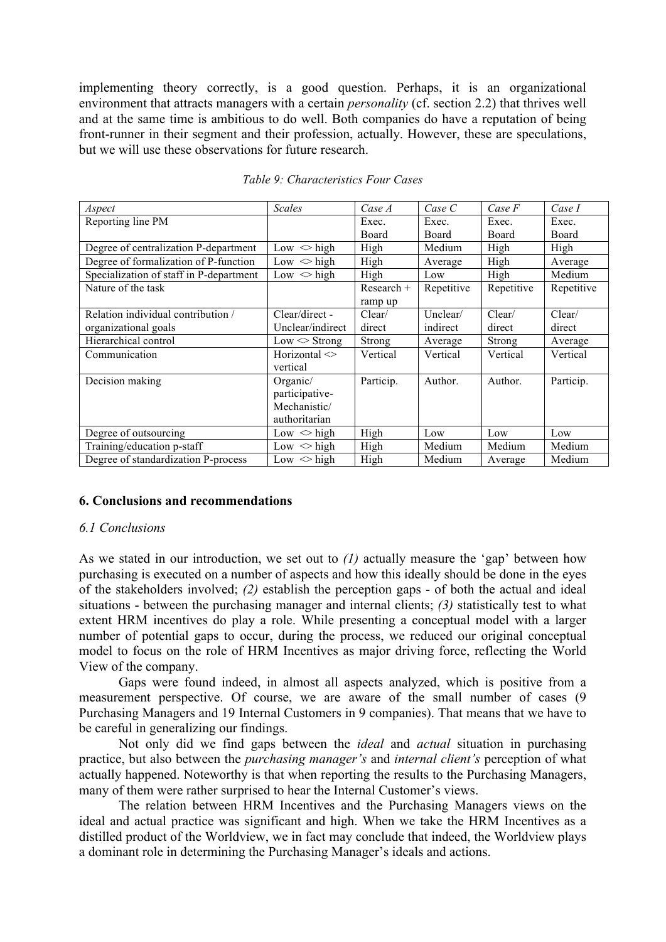implementing theory correctly, is a good question. Perhaps, it is an organizational environment that attracts managers with a certain *personality* (cf. section 2.2) that thrives well and at the same time is ambitious to do well. Both companies do have a reputation of being front-runner in their segment and their profession, actually. However, these are speculations, but we will use these observations for future research.

| Aspect                                  | <b>Scales</b>                                               | Case A       | Case C     | Case F     | Case I     |
|-----------------------------------------|-------------------------------------------------------------|--------------|------------|------------|------------|
| Reporting line PM                       |                                                             | Exec.        | Exec.      | Exec.      | Exec.      |
|                                         |                                                             | Board        | Board      | Board      | Board      |
| Degree of centralization P-department   | $Low \leq high$                                             | High         | Medium     | High       | High       |
| Degree of formalization of P-function   | Low $\langle$ high                                          | High         | Average    | High       | Average    |
| Specialization of staff in P-department | Low $\langle$ high                                          | High         | Low        | High       | Medium     |
| Nature of the task                      |                                                             | $Research +$ | Repetitive | Repetitive | Repetitive |
|                                         |                                                             | ramp up      |            |            |            |
| Relation individual contribution /      | Clear/direct -                                              | Clear/       | Unclear/   | Clear/     | Clear/     |
| organizational goals                    | Unclear/indirect                                            | direct       | indirect   | direct     | direct     |
| Hierarchical control                    | $Low <$ Strong                                              | Strong       | Average    | Strong     | Average    |
| Communication                           | Horizontal $\leq$<br>vertical                               | Vertical     | Vertical   | Vertical   | Vertical   |
| Decision making                         | Organic/<br>participative-<br>Mechanistic/<br>authoritarian | Particip.    | Author.    | Author.    | Particip.  |
| Degree of outsourcing                   | Low $\langle$ high                                          | High         | Low        | Low        | Low        |
| Training/education p-staff              | Low $\langle$ high                                          | High         | Medium     | Medium     | Medium     |
| Degree of standardization P-process     | $Low \leq high$                                             | High         | Medium     | Average    | Medium     |

#### *Table 9: Characteristics Four Cases*

### **6. Conclusions and recommendations**

#### *6.1 Conclusions*

As we stated in our introduction, we set out to *(1)* actually measure the 'gap' between how purchasing is executed on a number of aspects and how this ideally should be done in the eyes of the stakeholders involved; *(2)* establish the perception gaps - of both the actual and ideal situations - between the purchasing manager and internal clients; *(3)* statistically test to what extent HRM incentives do play a role. While presenting a conceptual model with a larger number of potential gaps to occur, during the process, we reduced our original conceptual model to focus on the role of HRM Incentives as major driving force, reflecting the World View of the company.

Gaps were found indeed, in almost all aspects analyzed, which is positive from a measurement perspective. Of course, we are aware of the small number of cases (9 Purchasing Managers and 19 Internal Customers in 9 companies). That means that we have to be careful in generalizing our findings.

Not only did we find gaps between the *ideal* and *actual* situation in purchasing practice, but also between the *purchasing manager's* and *internal client's* perception of what actually happened. Noteworthy is that when reporting the results to the Purchasing Managers, many of them were rather surprised to hear the Internal Customer's views.

The relation between HRM Incentives and the Purchasing Managers views on the ideal and actual practice was significant and high. When we take the HRM Incentives as a distilled product of the Worldview, we in fact may conclude that indeed, the Worldview plays a dominant role in determining the Purchasing Manager's ideals and actions.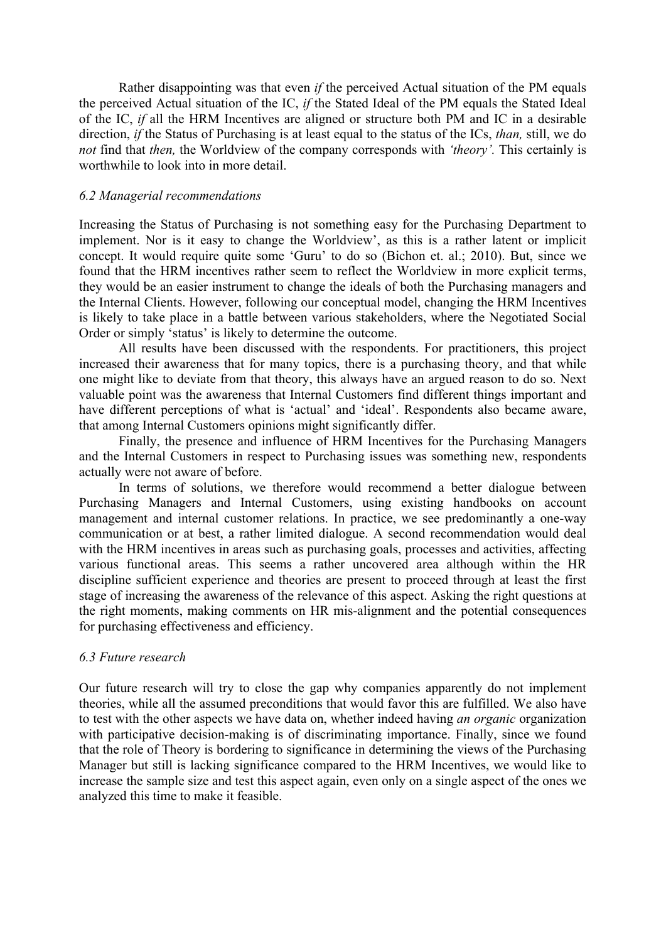Rather disappointing was that even *if* the perceived Actual situation of the PM equals the perceived Actual situation of the IC, *if* the Stated Ideal of the PM equals the Stated Ideal of the IC, *if* all the HRM Incentives are aligned or structure both PM and IC in a desirable direction, *if* the Status of Purchasing is at least equal to the status of the ICs, *than,* still, we do *not* find that *then*, the Worldview of the company corresponds with *'theory'*. This certainly is worthwhile to look into in more detail.

#### *6.2 Managerial recommendations*

Increasing the Status of Purchasing is not something easy for the Purchasing Department to implement. Nor is it easy to change the Worldview', as this is a rather latent or implicit concept. It would require quite some 'Guru' to do so (Bichon et. al.; 2010). But, since we found that the HRM incentives rather seem to reflect the Worldview in more explicit terms, they would be an easier instrument to change the ideals of both the Purchasing managers and the Internal Clients. However, following our conceptual model, changing the HRM Incentives is likely to take place in a battle between various stakeholders, where the Negotiated Social Order or simply 'status' is likely to determine the outcome.

All results have been discussed with the respondents. For practitioners, this project increased their awareness that for many topics, there is a purchasing theory, and that while one might like to deviate from that theory, this always have an argued reason to do so. Next valuable point was the awareness that Internal Customers find different things important and have different perceptions of what is 'actual' and 'ideal'. Respondents also became aware, that among Internal Customers opinions might significantly differ.

Finally, the presence and influence of HRM Incentives for the Purchasing Managers and the Internal Customers in respect to Purchasing issues was something new, respondents actually were not aware of before.

In terms of solutions, we therefore would recommend a better dialogue between Purchasing Managers and Internal Customers, using existing handbooks on account management and internal customer relations. In practice, we see predominantly a one-way communication or at best, a rather limited dialogue. A second recommendation would deal with the HRM incentives in areas such as purchasing goals, processes and activities, affecting various functional areas. This seems a rather uncovered area although within the HR discipline sufficient experience and theories are present to proceed through at least the first stage of increasing the awareness of the relevance of this aspect. Asking the right questions at the right moments, making comments on HR mis-alignment and the potential consequences for purchasing effectiveness and efficiency.

#### *6.3 Future research*

Our future research will try to close the gap why companies apparently do not implement theories, while all the assumed preconditions that would favor this are fulfilled. We also have to test with the other aspects we have data on, whether indeed having *an organic* organization with participative decision-making is of discriminating importance. Finally, since we found that the role of Theory is bordering to significance in determining the views of the Purchasing Manager but still is lacking significance compared to the HRM Incentives, we would like to increase the sample size and test this aspect again, even only on a single aspect of the ones we analyzed this time to make it feasible.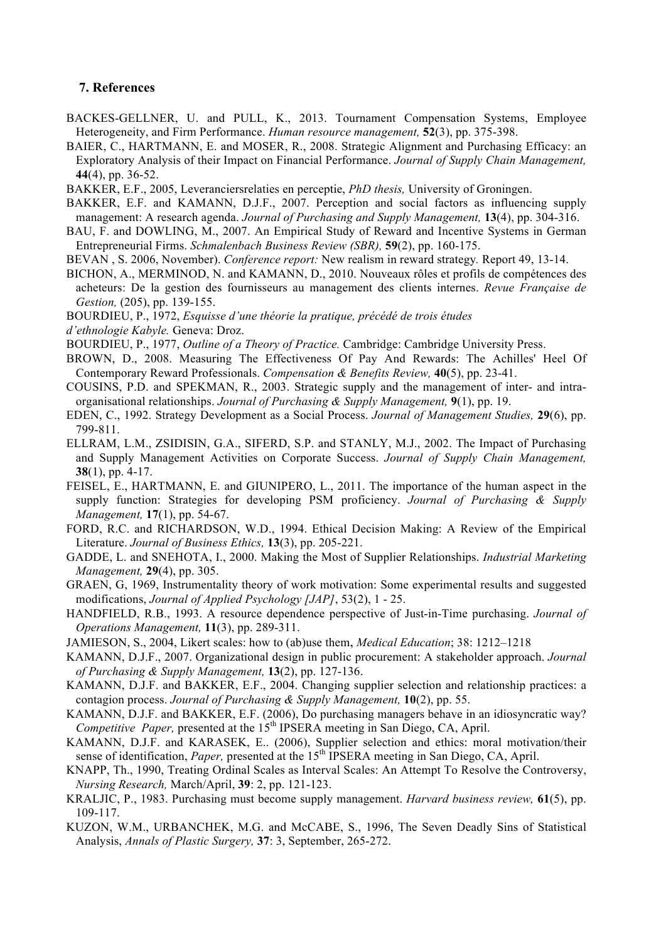#### **7. References**

- BACKES-GELLNER, U. and PULL, K., 2013. Tournament Compensation Systems, Employee Heterogeneity, and Firm Performance. *Human resource management,* **52**(3), pp. 375-398.
- BAIER, C., HARTMANN, E. and MOSER, R., 2008. Strategic Alignment and Purchasing Efficacy: an Exploratory Analysis of their Impact on Financial Performance. *Journal of Supply Chain Management,*  **44**(4), pp. 36-52.
- BAKKER, E.F., 2005, Leveranciersrelaties en perceptie, *PhD thesis,* University of Groningen.
- BAKKER, E.F. and KAMANN, D.J.F., 2007. Perception and social factors as influencing supply management: A research agenda. *Journal of Purchasing and Supply Management,* **13**(4), pp. 304-316.
- BAU, F. and DOWLING, M., 2007. An Empirical Study of Reward and Incentive Systems in German Entrepreneurial Firms. *Schmalenbach Business Review (SBR),* **59**(2), pp. 160-175.
- BEVAN , S. 2006, November). *Conference report:* New realism in reward strategy*.* Report 49, 13-14.
- BICHON, A., MERMINOD, N. and KAMANN, D., 2010. Nouveaux rôles et profils de compétences des acheteurs: De la gestion des fournisseurs au management des clients internes. *Revue Française de Gestion,* (205), pp. 139-155.
- BOURDIEU, P., 1972, *Esquisse d'une théorie la pratique, précédé de trois études*
- *d'ethnologie Kabyle.* Geneva: Droz.
- BOURDIEU, P., 1977, *Outline of a Theory of Practice.* Cambridge: Cambridge University Press.
- BROWN, D., 2008. Measuring The Effectiveness Of Pay And Rewards: The Achilles' Heel Of Contemporary Reward Professionals. *Compensation & Benefits Review,* **40**(5), pp. 23-41.
- COUSINS, P.D. and SPEKMAN, R., 2003. Strategic supply and the management of inter- and intraorganisational relationships. *Journal of Purchasing & Supply Management,* **9**(1), pp. 19.
- EDEN, C., 1992. Strategy Development as a Social Process. *Journal of Management Studies,* **29**(6), pp. 799-811.
- ELLRAM, L.M., ZSIDISIN, G.A., SIFERD, S.P. and STANLY, M.J., 2002. The Impact of Purchasing and Supply Management Activities on Corporate Success. *Journal of Supply Chain Management,*  **38**(1), pp. 4-17.
- FEISEL, E., HARTMANN, E. and GIUNIPERO, L., 2011. The importance of the human aspect in the supply function: Strategies for developing PSM proficiency. *Journal of Purchasing & Supply Management,* **17**(1), pp. 54-67.
- FORD, R.C. and RICHARDSON, W.D., 1994. Ethical Decision Making: A Review of the Empirical Literature. *Journal of Business Ethics,* **13**(3), pp. 205-221.
- GADDE, L. and SNEHOTA, I., 2000. Making the Most of Supplier Relationships. *Industrial Marketing Management,* **29**(4), pp. 305.
- GRAEN, G, 1969, Instrumentality theory of work motivation: Some experimental results and suggested modifications, *Journal of Applied Psychology [JAP]*, 53(2), 1 - 25.
- HANDFIELD, R.B., 1993. A resource dependence perspective of Just-in-Time purchasing. *Journal of Operations Management,* **11**(3), pp. 289-311.
- JAMIESON, S., 2004, Likert scales: how to (ab)use them, *Medical Education*; 38: 1212–1218
- KAMANN, D.J.F., 2007. Organizational design in public procurement: A stakeholder approach. *Journal of Purchasing & Supply Management,* **13**(2), pp. 127-136.
- KAMANN, D.J.F. and BAKKER, E.F., 2004. Changing supplier selection and relationship practices: a contagion process. *Journal of Purchasing & Supply Management,* **10**(2), pp. 55.
- KAMANN, D.J.F. and BAKKER, E.F. (2006), Do purchasing managers behave in an idiosyncratic way? *Competitive Paper, presented at the 15<sup>th</sup> IPSERA meeting in San Diego, CA, April.*
- KAMANN, D.J.F. and KARASEK, E.. (2006), Supplier selection and ethics: moral motivation/their sense of identification, *Paper*, presented at the 15<sup>th</sup> IPSERA meeting in San Diego, CA, April.
- KNAPP, Th., 1990, Treating Ordinal Scales as Interval Scales: An Attempt To Resolve the Controversy, *Nursing Research,* March/April, **39**: 2, pp. 121-123.
- KRALJIC, P., 1983. Purchasing must become supply management. *Harvard business review,* **61**(5), pp. 109-117.
- KUZON, W.M., URBANCHEK, M.G. and McCABE, S., 1996, The Seven Deadly Sins of Statistical Analysis, *Annals of Plastic Surgery,* **37**: 3, September, 265-272.